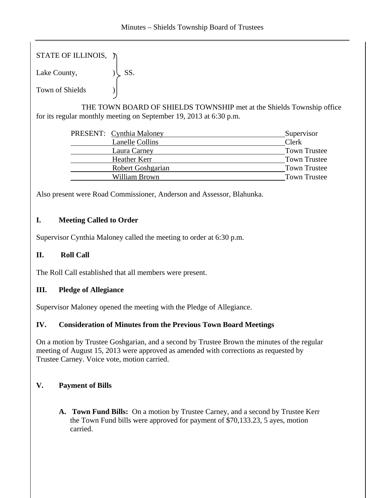STATE OF ILLINOIS,  $\ni$ 

Lake County,  $|\text{SS.}}$ 

Town of Shields )

 THE TOWN BOARD OF SHIELDS TOWNSHIP met at the Shields Township office for its regular monthly meeting on September 19, 2013 at 6:30 p.m.

|                          | Supervisor               |
|--------------------------|--------------------------|
| <b>Lanelle Collins</b>   | Clerk                    |
| Laura Carney             | <b>Town Trustee</b>      |
| Heather Kerr             | <b>Town Trustee</b>      |
| <b>Robert Goshgarian</b> | <b>Town Trustee</b>      |
| William Brown            | <b>Town Trustee</b>      |
|                          | PRESENT: Cynthia Maloney |

Also present were Road Commissioner, Anderson and Assessor, Blahunka.

# **I. Meeting Called to Order**

Supervisor Cynthia Maloney called the meeting to order at 6:30 p.m.

# **II. Roll Call**

The Roll Call established that all members were present.

# **III. Pledge of Allegiance**

Supervisor Maloney opened the meeting with the Pledge of Allegiance.

# **IV. Consideration of Minutes from the Previous Town Board Meetings**

On a motion by Trustee Goshgarian, and a second by Trustee Brown the minutes of the regular meeting of August 15, 2013 were approved as amended with corrections as requested by Trustee Carney. Voice vote, motion carried.

# **V. Payment of Bills**

**A. Town Fund Bills:** On a motion by Trustee Carney, and a second by Trustee Kerr the Town Fund bills were approved for payment of \$70,133.23, 5 ayes, motion carried.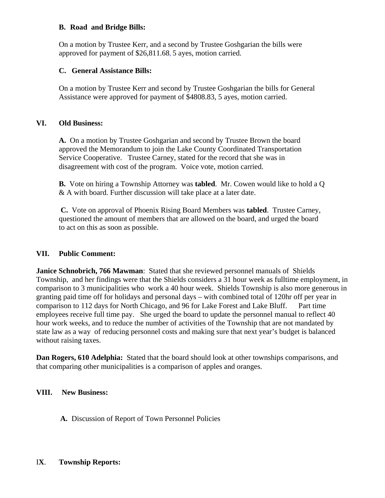### **B. Road and Bridge Bills:**

On a motion by Trustee Kerr, and a second by Trustee Goshgarian the bills were approved for payment of \$26,811.68, 5 ayes, motion carried.

### **C. General Assistance Bills:**

On a motion by Trustee Kerr and second by Trustee Goshgarian the bills for General Assistance were approved for payment of \$4808.83, 5 ayes, motion carried.

### **VI. Old Business:**

**A.** On a motion by Trustee Goshgarian and second by Trustee Brown the board approved the Memorandum to join the Lake County Coordinated Transportation Service Cooperative. Trustee Carney, stated for the record that she was in disagreement with cost of the program. Voice vote, motion carried.

**B.** Vote on hiring a Township Attorney was **tabled**. Mr. Cowen would like to hold a Q & A with board. Further discussion will take place at a later date.

**C.** Vote on approval of Phoenix Rising Board Members was **tabled**. Trustee Carney, questioned the amount of members that are allowed on the board, and urged the board to act on this as soon as possible.

# **VII. Public Comment:**

**Janice Schnobrich, 766 Mawman**: Stated that she reviewed personnel manuals of Shields Township, and her findings were that the Shields considers a 31 hour week as fulltime employment, in comparison to 3 municipalities who work a 40 hour week. Shields Township is also more generous in granting paid time off for holidays and personal days – with combined total of 120hr off per year in comparison to 112 days for North Chicago, and 96 for Lake Forest and Lake Bluff. Part time employees receive full time pay. She urged the board to update the personnel manual to reflect 40 hour work weeks, and to reduce the number of activities of the Township that are not mandated by state law as a way of reducing personnel costs and making sure that next year's budget is balanced without raising taxes.

**Dan Rogers, 610 Adelphia:** Stated that the board should look at other townships comparisons, and that comparing other municipalities is a comparison of apples and oranges.

# **VIII. New Business:**

**A.** Discussion of Report of Town Personnel Policies

#### I**X**. **Township Reports:**